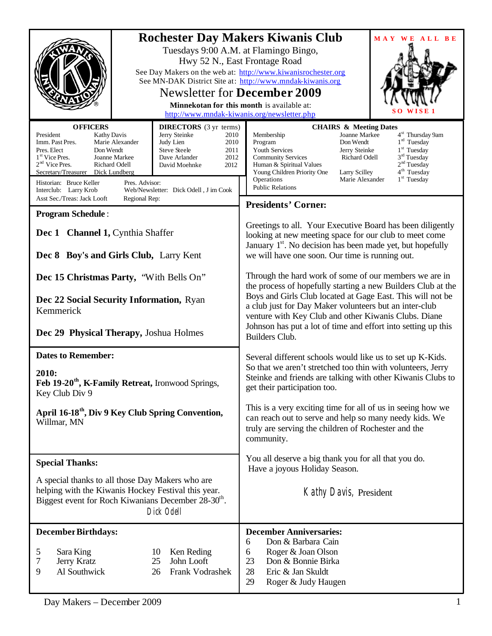| <b>OFFICERS</b><br>President<br><b>Kathy Davis</b><br>Imm. Past Pres.<br>Marie Alexander<br>Pres. Elect<br>Don Wendt<br>$1st$ Vice Pres.<br>Joanne Markee                                       | <b>DIRECTORS</b> (3 yr terms)<br>Jerry Steinke<br>2010<br>Judy Lien<br>2010<br><b>Steve Steele</b><br>2011<br>Dave Arlander<br>2012 | <b>Rochester Day Makers Kiwanis Club</b><br>MAY WE ALL BE<br>Tuesdays 9:00 A.M. at Flamingo Bingo,<br>Hwy 52 N., East Frontage Road<br>See Day Makers on the web at: http://www.kiwanisrochester.org<br>See MN-DAK District Site at: http://www.mndak-kiwanis.org<br><b>Newsletter for December 2009</b><br>Minnekotan for this month is available at:<br>http://www.mndak-kiwanis.org/newsletter.php<br><b>CHAIRS &amp; Meeting Dates</b><br>4 <sup>st</sup> Thursday 9am<br>Joanne Markee<br>Membership<br>$1rd$ Tuesday<br>Don Wendt<br>Program<br>$1st$ Tuesday<br>Jerry Steinke<br>Youth Services<br>3 <sup>rd</sup> Tuesday<br>Richard Odell<br><b>Community Services</b> |  |
|-------------------------------------------------------------------------------------------------------------------------------------------------------------------------------------------------|-------------------------------------------------------------------------------------------------------------------------------------|---------------------------------------------------------------------------------------------------------------------------------------------------------------------------------------------------------------------------------------------------------------------------------------------------------------------------------------------------------------------------------------------------------------------------------------------------------------------------------------------------------------------------------------------------------------------------------------------------------------------------------------------------------------------------------|--|
| $2nd$ Vice Pres.<br>Richard Odell<br>Secretary/Treasurer<br>Dick Lundberg<br>Historian: Bruce Keller<br>Pres. Advisor:<br>Interclub: Larry Krob<br>Asst Sec./Treas: Jack Looft<br>Regional Rep: | David Moehnke<br>2012<br>Web/Newsletter: Dick Odell, J im Cook                                                                      | 2 <sup>nd</sup> Tuesday<br>Human & Spiritual Values<br>4 <sup>th</sup> Tuesday<br>Young Children Priority One<br>Larry Scilley<br>$1st$ Tuesday<br>Operations<br>Marie Alexander<br><b>Public Relations</b>                                                                                                                                                                                                                                                                                                                                                                                                                                                                     |  |
| <b>Program Schedule:</b>                                                                                                                                                                        |                                                                                                                                     | <b>Presidents' Corner:</b>                                                                                                                                                                                                                                                                                                                                                                                                                                                                                                                                                                                                                                                      |  |
| Dec 1 Channel 1, Cynthia Shaffer<br>Dec 8 Boy's and Girls Club, Larry Kent                                                                                                                      |                                                                                                                                     | Greetings to all. Your Executive Board has been diligently<br>looking at new meeting space for our club to meet come<br>January 1 <sup>st</sup> . No decision has been made yet, but hopefully<br>we will have one soon. Our time is running out.                                                                                                                                                                                                                                                                                                                                                                                                                               |  |
| Dec 15 Christmas Party, "With Bells On"<br>Dec 22 Social Security Information, Ryan<br>Kemmerick<br>Dec 29 Physical Therapy, Joshua Holmes                                                      |                                                                                                                                     | Through the hard work of some of our members we are in<br>the process of hopefully starting a new Builders Club at the<br>Boys and Girls Club located at Gage East. This will not be<br>a club just for Day Maker volunteers but an inter-club<br>venture with Key Club and other Kiwanis Clubs. Diane<br>Johnson has put a lot of time and effort into setting up this<br>Builders Club.                                                                                                                                                                                                                                                                                       |  |
| <b>Dates to Remember:</b><br>2010:<br>Feb 19-20 <sup>th</sup> , K-Family Retreat, Ironwood Springs,<br>Key Club Div 9                                                                           |                                                                                                                                     | Several different schools would like us to set up K-Kids.<br>So that we aren't stretched too thin with volunteers, Jerry<br>Steinke and friends are talking with other Kiwanis Clubs to<br>get their participation too.                                                                                                                                                                                                                                                                                                                                                                                                                                                         |  |
| April 16-18 <sup>th</sup> , Div 9 Key Club Spring Convention,<br>Willmar, MN                                                                                                                    |                                                                                                                                     | This is a very exciting time for all of us in seeing how we<br>can reach out to serve and help so many needy kids. We<br>truly are serving the children of Rochester and the<br>community.                                                                                                                                                                                                                                                                                                                                                                                                                                                                                      |  |
| <b>Special Thanks:</b>                                                                                                                                                                          |                                                                                                                                     | You all deserve a big thank you for all that you do.<br>Have a joyous Holiday Season.                                                                                                                                                                                                                                                                                                                                                                                                                                                                                                                                                                                           |  |
| A special thanks to all those Day Makers who are<br>helping with the Kiwanis Hockey Festival this year.<br>Biggest event for Roch Kiwanians December 28-30 <sup>th</sup> .<br>Dick Odell        |                                                                                                                                     | Kathy Davis, President                                                                                                                                                                                                                                                                                                                                                                                                                                                                                                                                                                                                                                                          |  |
| <b>December Birthdays:</b><br>5<br>Sara King<br>7<br>Jerry Kratz<br>Al Southwick<br>9                                                                                                           | Ken Reding<br>10<br>25<br>John Looft<br>Frank Vodrashek<br>26                                                                       | <b>December Anniversaries:</b><br>6<br>Don & Barbara Cain<br>Roger & Joan Olson<br>6<br>23<br>Don & Bonnie Birka<br>28<br>Eric & Jan Skuldt<br>29<br>Roger & Judy Haugen                                                                                                                                                                                                                                                                                                                                                                                                                                                                                                        |  |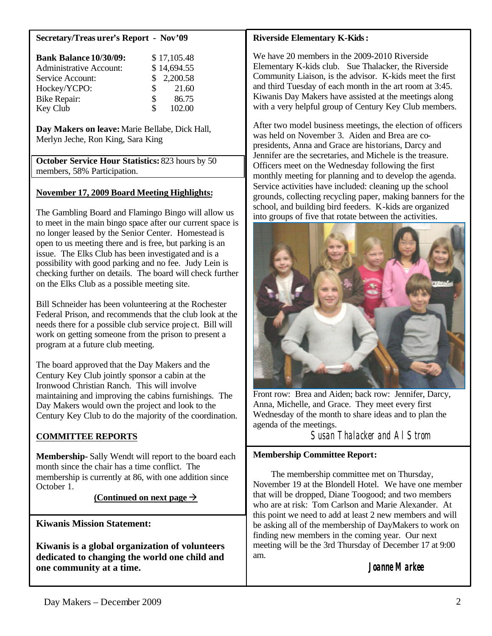#### **Secretary/Treas urer's Report - Nov'09**

| <b>Bank Balance 10/30/09:</b>  |     | \$17,105.48 |
|--------------------------------|-----|-------------|
| <b>Administrative Account:</b> |     | \$14,694.55 |
| Service Account:               |     | \$2,200.58  |
| Hockey/YCPO:                   | SS. | 21.60       |
| <b>Bike Repair:</b>            | \$  | 86.75       |
| Key Club                       | \$  | 102.00      |

**Day Makers on leave:**Marie Bellabe, Dick Hall, Merlyn Jeche, Ron King, Sara King

**October Service Hour Statistics:** 823 hours by 50 members, 58% Participation.

### **November 17, 2009 Board Meeting Highlights:**

The Gambling Board and Flamingo Bingo will allow us to meet in the main bingo space after our current space is no longer leased by the Senior Center. Homestead is open to us meeting there and is free, but parking is an issue. The Elks Club has been investigated and is a possibility with good parking and no fee. Judy Lein is checking further on details. The board will check further on the Elks Club as a possible meeting site.

Bill Schneider has been volunteering at the Rochester Federal Prison, and recommends that the club look at the needs there for a possible club service proje ct. Bill will work on getting someone from the prison to present a program at a future club meeting.

The board approved that the Day Makers and the Century Key Club jointly sponsor a cabin at the Ironwood Christian Ranch. This will involve maintaining and improving the cabins furnishings. The Day Makers would own the project and look to the Century Key Club to do the majority of the coordination.

### **COMMITTEE REPORTS**

**Membership-** Sally Wendt will report to the board each month since the chair has a time conflict. The membership is currently at 86, with one addition since October 1.

### (Continued on next page  $\rightarrow$

**Kiwanis Mission Statement:**

**Kiwanis is a global organization of volunteers dedicated to changing the world one child and one community at a time.**

#### **Riverside Elementary K-Kids:**

We have 20 members in the 2009-2010 Riverside Elementary K-kids club. Sue Thalacker, the Riverside Community Liaison, is the advisor. K-kids meet the first and third Tuesday of each month in the art room at 3:45. Kiwanis Day Makers have assisted at the meetings along with a very helpful group of Century Key Club members.

After two model business meetings, the election of officers was held on November 3. Aiden and Brea are copresidents, Anna and Grace are historians, Darcy and Jennifer are the secretaries, and Michele is the treasure. Officers meet on the Wednesday following the first monthly meeting for planning and to develop the agenda. Service activities have included: cleaning up the school grounds, collecting recycling paper, making banners for the school, and building bird feeders. K-kids are organized into groups of five that rotate between the activities.



Front row: Brea and Aiden; back row: Jennifer, Darcy, Anna, Michelle, and Grace. They meet every first Wednesday of the month to share ideas and to plan the agenda of the meetings.

Susan Thalacker and Al Strom

### **Membership Committee Report:**

The membership committee met on Thursday, November 19 at the Blondell Hotel. We have one member that will be dropped, Diane Toogood; and two members who are at risk: Tom Carlson and Marie Alexander. At this point we need to add at least 2 new members and will be asking all of the membership of DayMakers to work on finding new members in the coming year. Our next meeting will be the 3rd Thursday of December 17 at 9:00 am.

## **Joanne Markee**